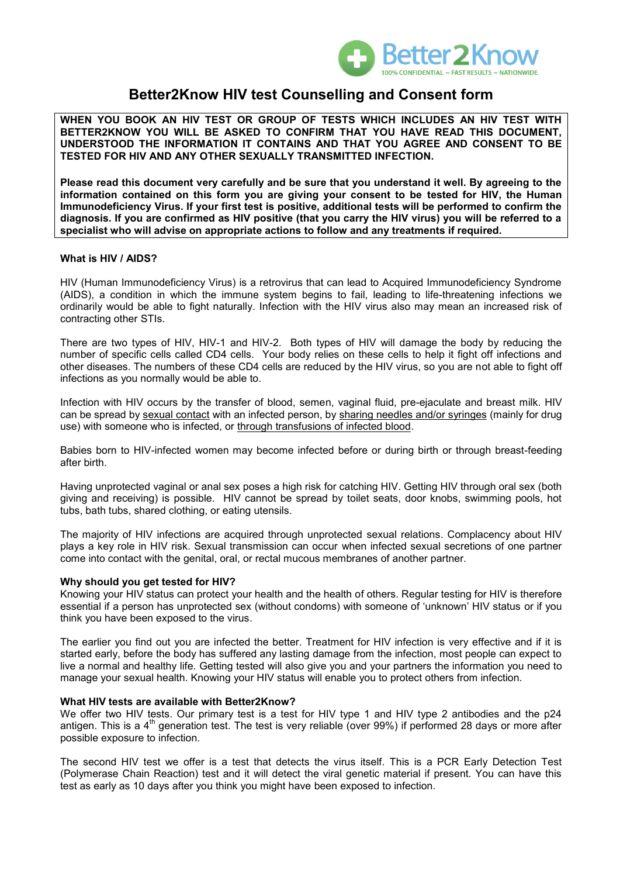

# **Better2Know HIV test Counselling and Consent form**

**WHEN YOU BOOK AN HIV TEST OR GROUP OF TESTS WHICH INCLUDES AN HIV TEST WITH BETTER2KNOW YOU WILL BE ASKED TO CONFIRM THAT YOU HAVE READ THIS DOCUMENT, UNDERSTOOD THE INFORMATION IT CONTAINS AND THAT YOU AGREE AND CONSENT TO BE TESTED FOR HIV AND ANY OTHER SEXUALLY TRANSMITTED INFECTION.** 

**Please read this document very carefully and be sure that you understand it well. By agreeing to the information contained on this form you are giving your consent to be tested for HIV, the Human Immunodeficiency Virus. If your first test is positive, additional tests will be performed to confirm the diagnosis. If you are confirmed as HIV positive (that you carry the HIV virus) you will be referred to a specialist who will advise on appropriate actions to follow and any treatments if required.**

# **What is HIV / AIDS?**

HIV (Human Immunodeficiency Virus) is a retrovirus that can lead to Acquired Immunodeficiency Syndrome (AIDS), a condition in which the immune system begins to fail, leading to life-threatening infections we ordinarily would be able to fight naturally. Infection with the HIV virus also may mean an increased risk of contracting other STIs.

There are two types of HIV, HIV-1 and HIV-2. Both types of HIV will damage the body by reducing the number of specific cells called CD4 cells. Your body relies on these cells to help it fight off infections and other diseases. The numbers of these CD4 cells are reduced by the HIV virus, so you are not able to fight off infections as you normally would be able to.

Infection with HIV occurs by the transfer of blood, semen, vaginal fluid, pre-ejaculate and breast milk. HIV can be spread by sexual contact with an infected person, by sharing needles and/or syringes (mainly for drug use) with someone who is infected, or through transfusions of infected blood.

Babies born to HIV-infected women may become infected before or during birth or through breast-feeding after birth.

Having unprotected vaginal or anal sex poses a high risk for catching HIV. Getting HIV through oral sex (both giving and receiving) is possible. HIV cannot be spread by toilet seats, door knobs, swimming pools, hot tubs, bath tubs, shared clothing, or eating utensils.

The majority of HIV infections are acquired through unprotected [sexual relations.](http://en.wikipedia.org/wiki/Human_sexual_activity) Complacency about HIV plays a key role in HIV risk. Sexual transmission can occur when infected sexual secretions of one partner come into contact with the [genital,](http://en.wikipedia.org/wiki/Sex_organ) [oral,](http://en.wikipedia.org/wiki/Oral_sex) or [rectal](http://en.wikipedia.org/wiki/Rectum) [mucous membranes](http://en.wikipedia.org/wiki/Mucous_membrane) of another partner.

# **Why should you get tested for HIV?**

Knowing your HIV status can protect your health and the health of others. Regular testing for HIV is therefore essential if a person has unprotected sex (without condoms) with someone of 'unknown' HIV status or if you think you have been exposed to the virus.

The earlier you find out you are infected the better. Treatment for HIV infection is very effective and if it is started early, before the body has suffered any lasting damage from the infection, most people can expect to live a normal and healthy life. Getting tested will also give you and your partners the information you need to manage your sexual health. Knowing your HIV status will enable you to protect others from infection.

# **What HIV tests are available with Better2Know?**

We offer two HIV tests. Our primary test is a test for HIV type 1 and HIV type 2 antibodies and the p24 antigen. This is a  $4<sup>th</sup>$  generation test. The test is very reliable (over 99%) if performed 28 days or more after possible exposure to infection.

The second HIV test we offer is a test that detects the virus itself. This is a PCR Early Detection Test (Polymerase Chain Reaction) test and it will detect the viral genetic material if present. You can have this test as early as 10 days after you think you might have been exposed to infection.